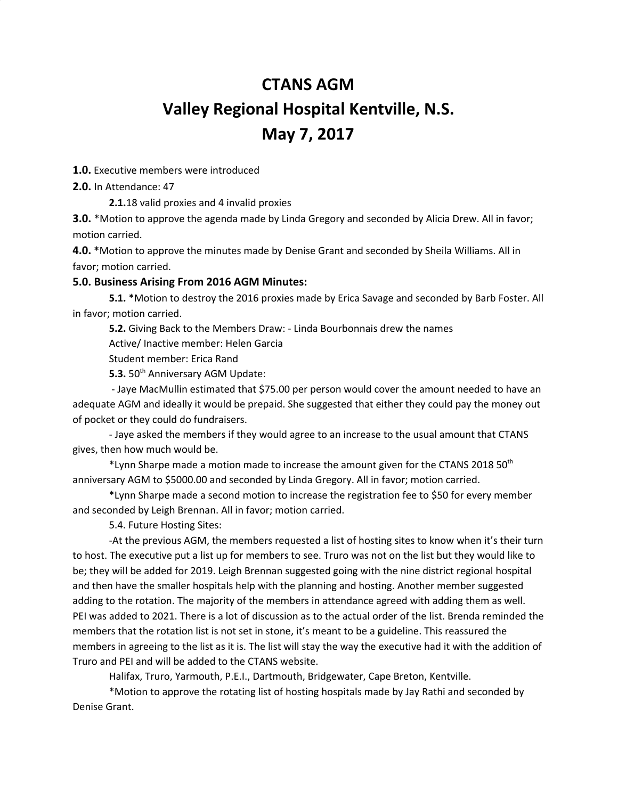# **CTANS AGM Valley Regional Hospital Kentville, N.S. May 7, 2017**

**1.0.** Executive members were introduced

**2.0.** In Attendance: 47

**2.1.**18 valid proxies and 4 invalid proxies

**3.0.** \*Motion to approve the agenda made by Linda Gregory and seconded by Alicia Drew. All in favor; motion carried.

**4.0. \***Motion to approve the minutes made by Denise Grant and seconded by Sheila Williams. All in favor; motion carried.

## **5.0. Business Arising From 2016 AGM Minutes:**

**5.1.** \*Motion to destroy the 2016 proxies made by Erica Savage and seconded by Barb Foster. All in favor; motion carried.

**5.2.** Giving Back to the Members Draw: - Linda Bourbonnais drew the names

Active/ Inactive member: Helen Garcia

Student member: Erica Rand

5.3. 50<sup>th</sup> Anniversary AGM Update:

- Jaye MacMullin estimated that \$75.00 per person would cover the amount needed to have an adequate AGM and ideally it would be prepaid. She suggested that either they could pay the money out of pocket or they could do fundraisers.

- Jaye asked the members if they would agree to an increase to the usual amount that CTANS gives, then how much would be.

\*Lynn Sharpe made a motion made to increase the amount given for the CTANS 2018 50<sup>th</sup> anniversary AGM to \$5000.00 and seconded by Linda Gregory. All in favor; motion carried.

\*Lynn Sharpe made a second motion to increase the registration fee to \$50 for every member and seconded by Leigh Brennan. All in favor; motion carried.

5.4. Future Hosting Sites:

-At the previous AGM, the members requested a list of hosting sites to know when it's their turn to host. The executive put a list up for members to see. Truro was not on the list but they would like to be; they will be added for 2019. Leigh Brennan suggested going with the nine district regional hospital and then have the smaller hospitals help with the planning and hosting. Another member suggested adding to the rotation. The majority of the members in attendance agreed with adding them as well. PEI was added to 2021. There is a lot of discussion as to the actual order of the list. Brenda reminded the members that the rotation list is not set in stone, it's meant to be a guideline. This reassured the members in agreeing to the list as it is. The list will stay the way the executive had it with the addition of Truro and PEI and will be added to the CTANS website.

Halifax, Truro, Yarmouth, P.E.I., Dartmouth, Bridgewater, Cape Breton, Kentville.

\*Motion to approve the rotating list of hosting hospitals made by Jay Rathi and seconded by Denise Grant.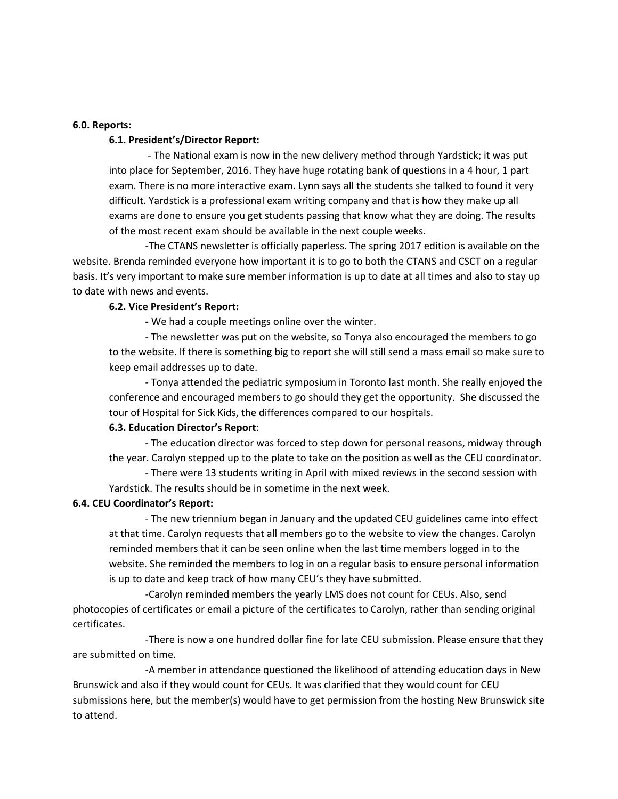#### **6.0. Reports:**

#### **6.1. President's/Director Report:**

- The National exam is now in the new delivery method through Yardstick; it was put into place for September, 2016. They have huge rotating bank of questions in a 4 hour, 1 part exam. There is no more interactive exam. Lynn says all the students she talked to found it very difficult. Yardstick is a professional exam writing company and that is how they make up all exams are done to ensure you get students passing that know what they are doing. The results of the most recent exam should be available in the next couple weeks.

-The CTANS newsletter is officially paperless. The spring 2017 edition is available on the website. Brenda reminded everyone how important it is to go to both the CTANS and CSCT on a regular basis. It's very important to make sure member information is up to date at all times and also to stay up to date with news and events.

## **6.2. Vice President's Report:**

**-** We had a couple meetings online over the winter.

- The newsletter was put on the website, so Tonya also encouraged the members to go to the website. If there is something big to report she will still send a mass email so make sure to keep email addresses up to date.

- Tonya attended the pediatric symposium in Toronto last month. She really enjoyed the conference and encouraged members to go should they get the opportunity. She discussed the tour of Hospital for Sick Kids, the differences compared to our hospitals.

## **6.3. Education Director's Report**:

- The education director was forced to step down for personal reasons, midway through the year. Carolyn stepped up to the plate to take on the position as well as the CEU coordinator.

- There were 13 students writing in April with mixed reviews in the second session with Yardstick. The results should be in sometime in the next week.

### **6.4. CEU Coordinator's Report:**

- The new triennium began in January and the updated CEU guidelines came into effect at that time. Carolyn requests that all members go to the website to view the changes. Carolyn reminded members that it can be seen online when the last time members logged in to the website. She reminded the members to log in on a regular basis to ensure personal information is up to date and keep track of how many CEU's they have submitted.

-Carolyn reminded members the yearly LMS does not count for CEUs. Also, send photocopies of certificates or email a picture of the certificates to Carolyn, rather than sending original certificates.

-There is now a one hundred dollar fine for late CEU submission. Please ensure that they are submitted on time.

-A member in attendance questioned the likelihood of attending education days in New Brunswick and also if they would count for CEUs. It was clarified that they would count for CEU submissions here, but the member(s) would have to get permission from the hosting New Brunswick site to attend.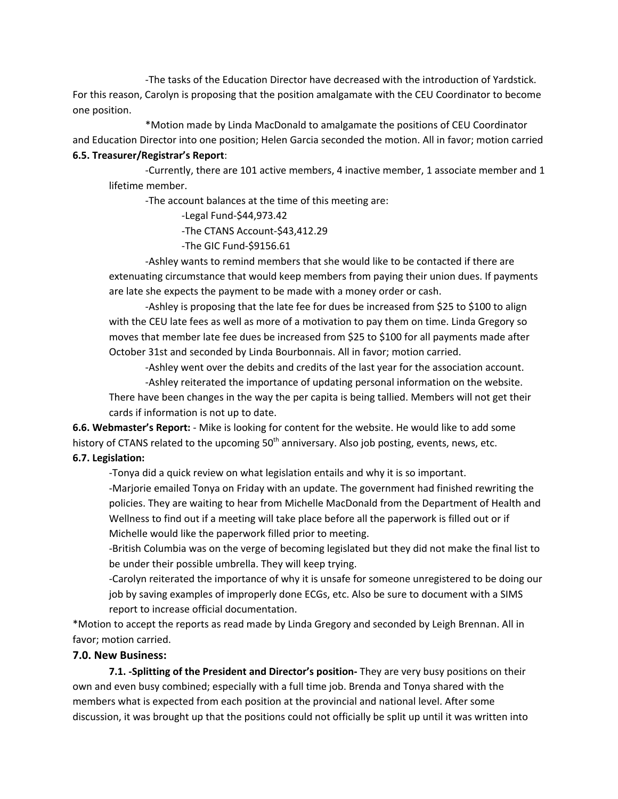-The tasks of the Education Director have decreased with the introduction of Yardstick. For this reason, Carolyn is proposing that the position amalgamate with the CEU Coordinator to become one position.

\*Motion made by Linda MacDonald to amalgamate the positions of CEU Coordinator and Education Director into one position; Helen Garcia seconded the motion. All in favor; motion carried **6.5. Treasurer/Registrar's Report**:

-Currently, there are 101 active members, 4 inactive member, 1 associate member and 1 lifetime member.

-The account balances at the time of this meeting are:

-Legal Fund-\$44,973.42

-The CTANS Account-\$43,412.29

-The GIC Fund-\$9156.61

-Ashley wants to remind members that she would like to be contacted if there are extenuating circumstance that would keep members from paying their union dues. If payments are late she expects the payment to be made with a money order or cash.

-Ashley is proposing that the late fee for dues be increased from \$25 to \$100 to align with the CEU late fees as well as more of a motivation to pay them on time. Linda Gregory so moves that member late fee dues be increased from \$25 to \$100 for all payments made after October 31st and seconded by Linda Bourbonnais. All in favor; motion carried.

-Ashley went over the debits and credits of the last year for the association account.

-Ashley reiterated the importance of updating personal information on the website.

There have been changes in the way the per capita is being tallied. Members will not get their cards if information is not up to date.

**6.6. Webmaster's Report:** - Mike is looking for content for the website. He would like to add some history of CTANS related to the upcoming 50<sup>th</sup> anniversary. Also job posting, events, news, etc.

# **6.7. Legislation:**

-Tonya did a quick review on what legislation entails and why it is so important.

-Marjorie emailed Tonya on Friday with an update. The government had finished rewriting the policies. They are waiting to hear from Michelle MacDonald from the Department of Health and Wellness to find out if a meeting will take place before all the paperwork is filled out or if Michelle would like the paperwork filled prior to meeting.

-British Columbia was on the verge of becoming legislated but they did not make the final list to be under their possible umbrella. They will keep trying.

-Carolyn reiterated the importance of why it is unsafe for someone unregistered to be doing our job by saving examples of improperly done ECGs, etc. Also be sure to document with a SIMS report to increase official documentation.

\*Motion to accept the reports as read made by Linda Gregory and seconded by Leigh Brennan. All in favor; motion carried.

# **7.0. New Business:**

**7.1. -Splitting of the President and Director's position-** They are very busy positions on their own and even busy combined; especially with a full time job. Brenda and Tonya shared with the members what is expected from each position at the provincial and national level. After some discussion, it was brought up that the positions could not officially be split up until it was written into